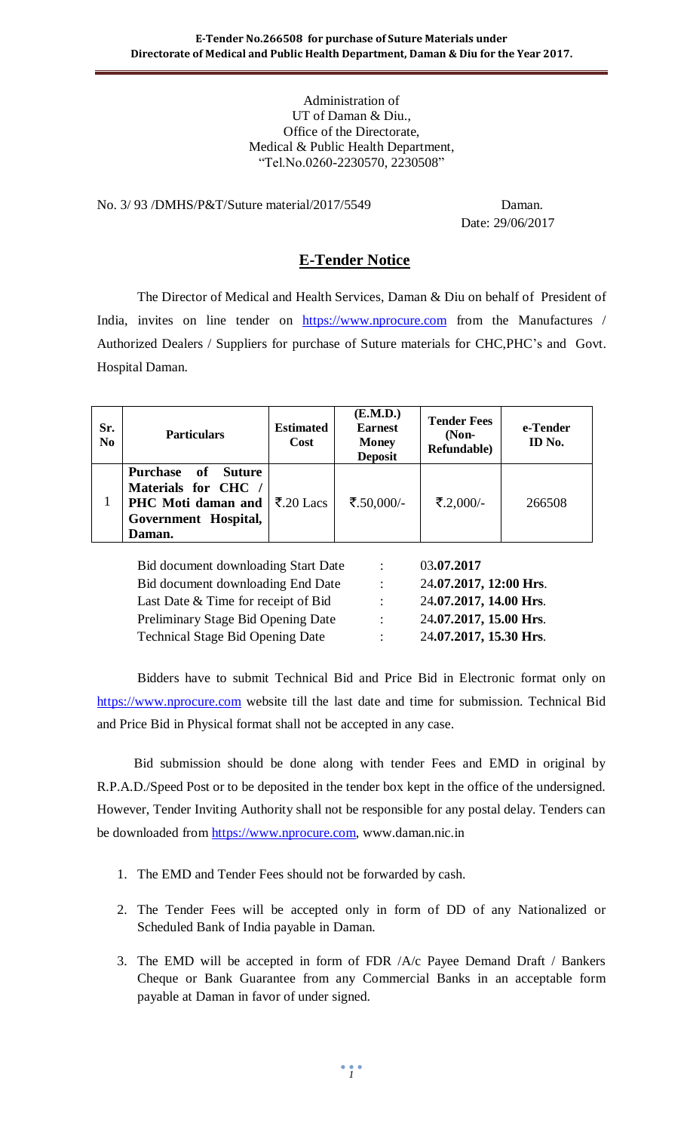#### Administration of UT of Daman & Diu., Office of the Directorate, Medical & Public Health Department, "Tel.No.0260-2230570, 2230508"

No. 3/ 93 /DMHS/P&T/Suture material/2017/5549 Daman.

Date: 29/06/2017

## **E-Tender Notice**

The Director of Medical and Health Services, Daman & Diu on behalf of President of India, invites on line tender on [https://www.nprocure.com](https://www.nprocure.com/) from the Manufactures / Authorized Dealers / Suppliers for purchase of Suture materials for CHC,PHC's and Govt. Hospital Daman.

| Sr.<br>N <sub>0</sub> | <b>Particulars</b>                                                                                                                               | <b>Estimated</b><br>Cost | (E.M.D.)<br><b>Earnest</b><br><b>Money</b><br><b>Deposit</b> | <b>Tender Fees</b><br>$(Non-$<br>Refundable) | e-Tender<br>ID No. |
|-----------------------|--------------------------------------------------------------------------------------------------------------------------------------------------|--------------------------|--------------------------------------------------------------|----------------------------------------------|--------------------|
|                       | <b>Purchase</b><br>of<br><b>Suture</b><br>Materials for CHC<br><b>PHC</b> Moti daman and $ \bar{\xi}$ .20 Lacs<br>Government Hospital,<br>Daman. |                          | ₹.50,000/-                                                   | ₹.2,000/-                                    | 266508             |

| Bid document downloading Start Date     | $\mathcal{A}$  | 03.07.2017             |
|-----------------------------------------|----------------|------------------------|
| Bid document downloading End Date       | $\mathbb{Z}$   | 24.07.2017, 12:00 Hrs. |
| Last Date & Time for receipt of Bid     | $\mathbb{R}^n$ | 24.07.2017, 14.00 Hrs. |
| Preliminary Stage Bid Opening Date      | $\mathcal{L}$  | 24.07.2017, 15.00 Hrs. |
| <b>Technical Stage Bid Opening Date</b> | $\mathcal{L}$  | 24.07.2017, 15.30 Hrs. |

Bidders have to submit Technical Bid and Price Bid in Electronic format only on [https://www.nprocure.com](https://www.nprocure.com/) website till the last date and time for submission. Technical Bid and Price Bid in Physical format shall not be accepted in any case.

 Bid submission should be done along with tender Fees and EMD in original by R.P.A.D./Speed Post or to be deposited in the tender box kept in the office of the undersigned. However, Tender Inviting Authority shall not be responsible for any postal delay. Tenders can be downloaded from [https://www.nprocure.com,](https://www.nprocure.com/) www.daman.nic.in

- 1. The EMD and Tender Fees should not be forwarded by cash.
- 2. The Tender Fees will be accepted only in form of DD of any Nationalized or Scheduled Bank of India payable in Daman.
- 3. The EMD will be accepted in form of FDR /A/c Payee Demand Draft / Bankers Cheque or Bank Guarantee from any Commercial Banks in an acceptable form payable at Daman in favor of under signed.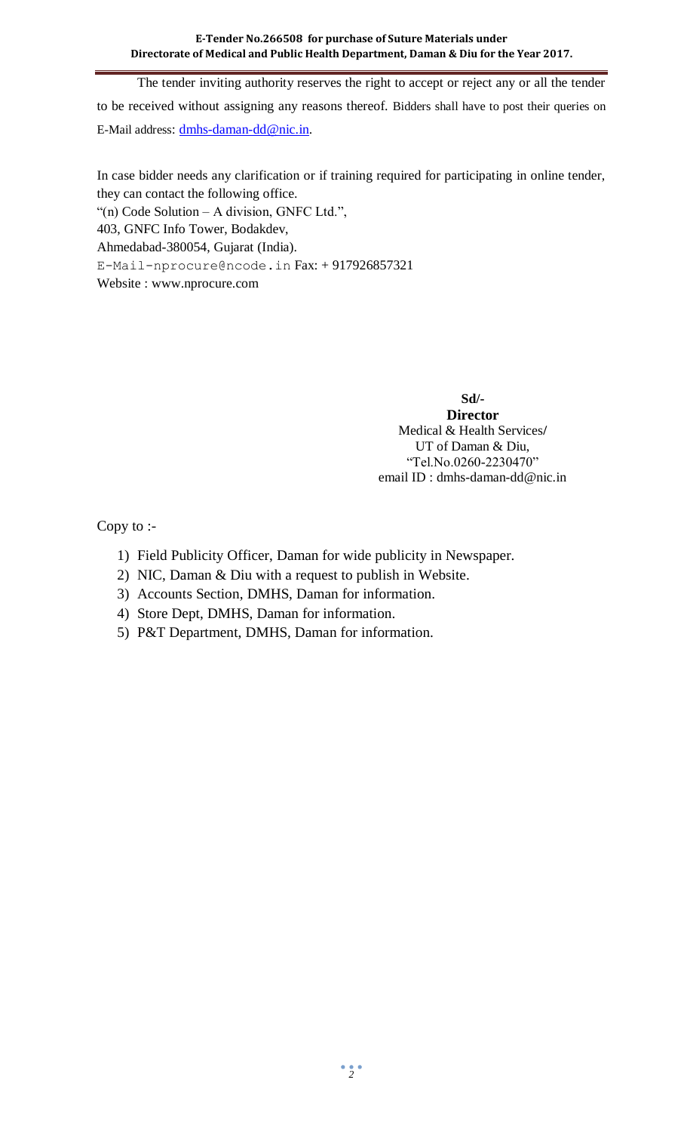The tender inviting authority reserves the right to accept or reject any or all the tender to be received without assigning any reasons thereof. Bidders shall have to post their queries on E-Mail address: [dmhs-daman-dd@nic.in.](mailto:dmhs-daman-dd@nic.in)

In case bidder needs any clarification or if training required for participating in online tender, they can contact the following office.

"(n) Code Solution – A division, GNFC Ltd.",

403, GNFC Info Tower, Bodakdev,

Ahmedabad-380054, Gujarat (India).

[E-Mail-nprocure@ncode.in](mailto:E-Mail-nprocure@ncode.in) Fax: + 917926857321

Website : [www.nprocure.com](http://www.nprocure.com/)

**Sd/- Director** Medical & Health Services**/** UT of Daman & Diu, "Tel.No.0260-2230470" email ID : dmhs-daman-dd@nic.in

Copy to :-

- 1) Field Publicity Officer, Daman for wide publicity in Newspaper.
- 2) NIC, Daman & Diu with a request to publish in Website.
- 3) Accounts Section, DMHS, Daman for information.
- 4) Store Dept, DMHS, Daman for information.
- 5) P&T Department, DMHS, Daman for information.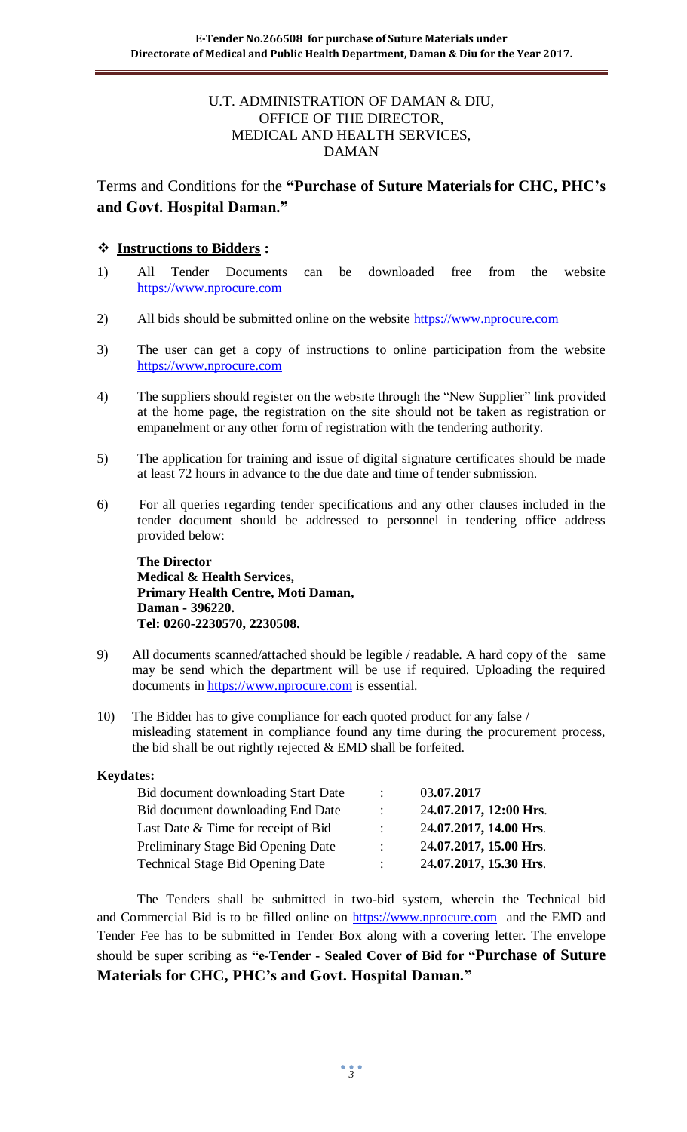#### U.T. ADMINISTRATION OF DAMAN & DIU, OFFICE OF THE DIRECTOR, MEDICAL AND HEALTH SERVICES, DAMAN

# Terms and Conditions for the **"Purchase of Suture Materialsfor CHC, PHC's and Govt. Hospital Daman."**

## **Instructions to Bidders :**

- 1) All Tender Documents can be downloaded free from the website [https://www.nprocure.com](https://www.nprocure.com/)
- 2) All bids should be submitted online on the website [https://www.nprocure.com](https://www.nprocure.com/)
- 3) The user can get a copy of instructions to online participation from the website [https://www.nprocure.com](https://www.nprocure.com/)
- 4) The suppliers should register on the website through the "New Supplier" link provided at the home page, the registration on the site should not be taken as registration or empanelment or any other form of registration with the tendering authority.
- 5) The application for training and issue of digital signature certificates should be made at least 72 hours in advance to the due date and time of tender submission.
- 6) For all queries regarding tender specifications and any other clauses included in the tender document should be addressed to personnel in tendering office address provided below:

**The Director Medical & Health Services, Primary Health Centre, Moti Daman, Daman - 396220. Tel: 0260-2230570, 2230508.**

- 9) All documents scanned/attached should be legible / readable. A hard copy of the same may be send which the department will be use if required. Uploading the required documents in [https://www.nprocure.com](https://www.nprocure.com/) is essential.
- 10) The Bidder has to give compliance for each quoted product for any false / misleading statement in compliance found any time during the procurement process, the bid shall be out rightly rejected & EMD shall be forfeited.

#### **Keydates:**

| $\mathcal{L}$             | 03.07.2017             |
|---------------------------|------------------------|
| $\mathcal{L}$             | 24.07.2017, 12:00 Hrs. |
| $\mathbb{R}^n$            | 24.07.2017, 14.00 Hrs. |
| $\mathcal{L}$             | 24.07.2017, 15.00 Hrs. |
| $\mathbb{R}^{\mathbb{Z}}$ | 24.07.2017, 15.30 Hrs. |
|                           |                        |

 The Tenders shall be submitted in two-bid system, wherein the Technical bid and Commercial Bid is to be filled online on [https://www.nprocure.com](https://www.nprocure.com/) and the EMD and Tender Fee has to be submitted in Tender Box along with a covering letter. The envelope should be super scribing as **"e-Tender - Sealed Cover of Bid for "Purchase of Suture Materials for CHC, PHC's and Govt. Hospital Daman."**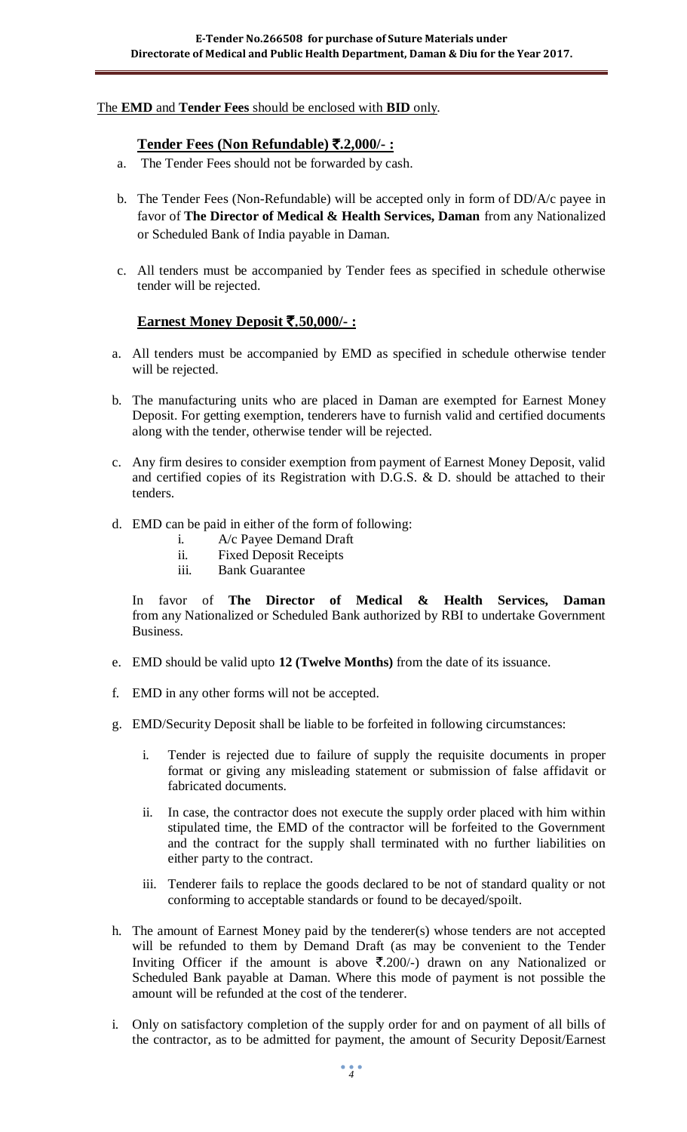#### The **EMD** and **Tender Fees** should be enclosed with **BID** only.

#### **Tender Fees (Non Refundable)** `**.2,000/- :**

- a. The Tender Fees should not be forwarded by cash.
- b. The Tender Fees (Non-Refundable) will be accepted only in form of DD/A/c payee in favor of **The Director of Medical & Health Services, Daman** from any Nationalized or Scheduled Bank of India payable in Daman.
- c. All tenders must be accompanied by Tender fees as specified in schedule otherwise tender will be rejected.

#### **Earnest Money Deposit** `.**50,000/- :**

- a. All tenders must be accompanied by EMD as specified in schedule otherwise tender will be rejected.
- b. The manufacturing units who are placed in Daman are exempted for Earnest Money Deposit. For getting exemption, tenderers have to furnish valid and certified documents along with the tender, otherwise tender will be rejected.
- c. Any firm desires to consider exemption from payment of Earnest Money Deposit, valid and certified copies of its Registration with D.G.S. & D. should be attached to their tenders.
- d. EMD can be paid in either of the form of following:
	- i. A/c Payee Demand Draft
	- ii. Fixed Deposit Receipts
	- iii. Bank Guarantee

In favor of **The Director of Medical & Health Services, Daman**  from any Nationalized or Scheduled Bank authorized by RBI to undertake Government Business.

- e. EMD should be valid upto **12 (Twelve Months)** from the date of its issuance.
- f. EMD in any other forms will not be accepted.
- g. EMD/Security Deposit shall be liable to be forfeited in following circumstances:
	- i. Tender is rejected due to failure of supply the requisite documents in proper format or giving any misleading statement or submission of false affidavit or fabricated documents.
	- ii. In case, the contractor does not execute the supply order placed with him within stipulated time, the EMD of the contractor will be forfeited to the Government and the contract for the supply shall terminated with no further liabilities on either party to the contract.
	- iii. Tenderer fails to replace the goods declared to be not of standard quality or not conforming to acceptable standards or found to be decayed/spoilt.
- h. The amount of Earnest Money paid by the tenderer(s) whose tenders are not accepted will be refunded to them by Demand Draft (as may be convenient to the Tender Inviting Officer if the amount is above  $\overline{\xi}$ .200/-) drawn on any Nationalized or Scheduled Bank payable at Daman. Where this mode of payment is not possible the amount will be refunded at the cost of the tenderer.
- i. Only on satisfactory completion of the supply order for and on payment of all bills of the contractor, as to be admitted for payment, the amount of Security Deposit/Earnest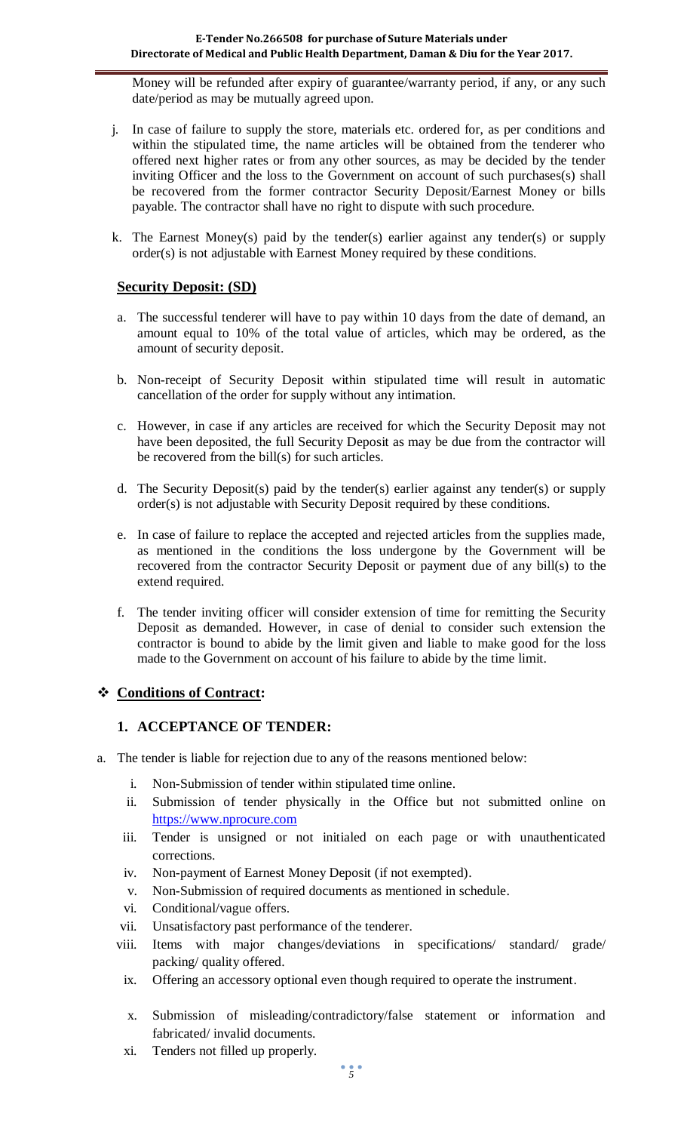Money will be refunded after expiry of guarantee/warranty period, if any, or any such date/period as may be mutually agreed upon.

- j. In case of failure to supply the store, materials etc. ordered for, as per conditions and within the stipulated time, the name articles will be obtained from the tenderer who offered next higher rates or from any other sources, as may be decided by the tender inviting Officer and the loss to the Government on account of such purchases(s) shall be recovered from the former contractor Security Deposit/Earnest Money or bills payable. The contractor shall have no right to dispute with such procedure.
- k. The Earnest Money(s) paid by the tender(s) earlier against any tender(s) or supply order(s) is not adjustable with Earnest Money required by these conditions.

#### **Security Deposit: (SD)**

- a. The successful tenderer will have to pay within 10 days from the date of demand, an amount equal to 10% of the total value of articles, which may be ordered, as the amount of security deposit.
- b. Non-receipt of Security Deposit within stipulated time will result in automatic cancellation of the order for supply without any intimation.
- c. However, in case if any articles are received for which the Security Deposit may not have been deposited, the full Security Deposit as may be due from the contractor will be recovered from the bill(s) for such articles.
- d. The Security Deposit(s) paid by the tender(s) earlier against any tender(s) or supply order(s) is not adjustable with Security Deposit required by these conditions.
- e. In case of failure to replace the accepted and rejected articles from the supplies made, as mentioned in the conditions the loss undergone by the Government will be recovered from the contractor Security Deposit or payment due of any bill(s) to the extend required.
- f. The tender inviting officer will consider extension of time for remitting the Security Deposit as demanded. However, in case of denial to consider such extension the contractor is bound to abide by the limit given and liable to make good for the loss made to the Government on account of his failure to abide by the time limit.

## **Conditions of Contract:**

#### **1. ACCEPTANCE OF TENDER:**

- a. The tender is liable for rejection due to any of the reasons mentioned below:
	- i. Non-Submission of tender within stipulated time online.
	- ii. Submission of tender physically in the Office but not submitted online on [https://www.nprocure.com](https://www.nprocure.com/)
	- iii. Tender is unsigned or not initialed on each page or with unauthenticated corrections.
	- iv. Non-payment of Earnest Money Deposit (if not exempted).
	- v. Non-Submission of required documents as mentioned in schedule.
	- vi. Conditional/vague offers.
	- vii. Unsatisfactory past performance of the tenderer.
	- viii. Items with major changes/deviations in specifications/ standard/ grade/ packing/ quality offered.
	- ix. Offering an accessory optional even though required to operate the instrument.
	- x. Submission of misleading/contradictory/false statement or information and fabricated/ invalid documents.
	- xi. Tenders not filled up properly.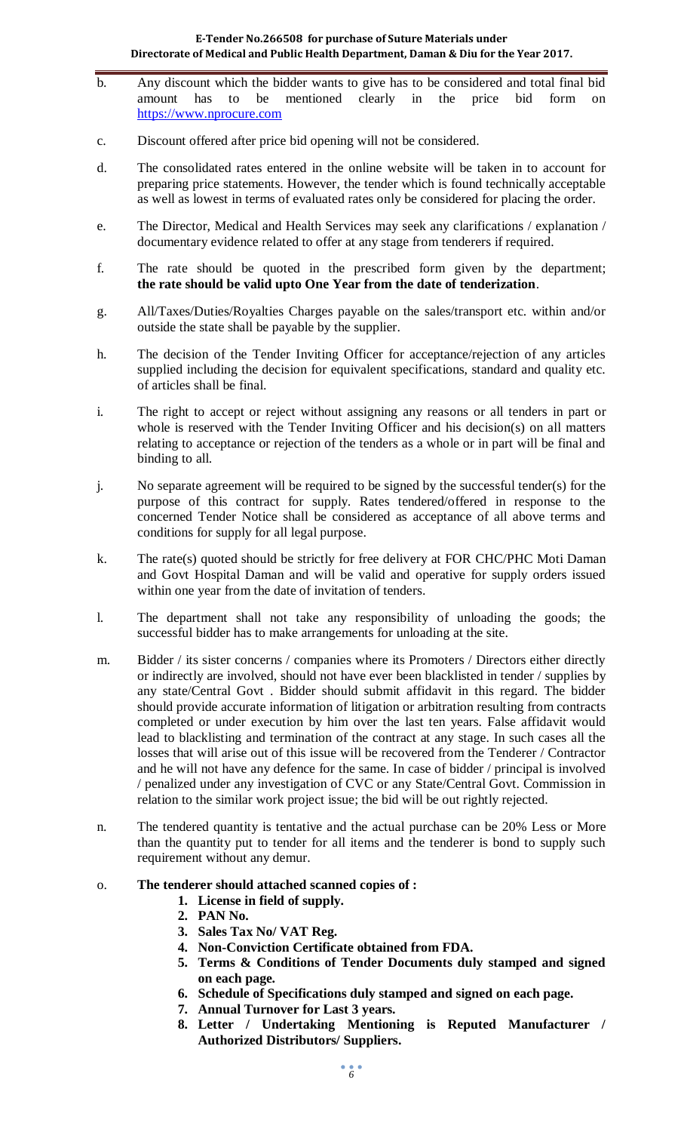- b. Any discount which the bidder wants to give has to be considered and total final bid amount has to be mentioned clearly in the price bid form on [https://www.nprocure.com](https://www.nprocure.com/)
- c. Discount offered after price bid opening will not be considered.
- d. The consolidated rates entered in the online website will be taken in to account for preparing price statements. However, the tender which is found technically acceptable as well as lowest in terms of evaluated rates only be considered for placing the order.
- e. The Director, Medical and Health Services may seek any clarifications / explanation / documentary evidence related to offer at any stage from tenderers if required.
- f. The rate should be quoted in the prescribed form given by the department; **the rate should be valid upto One Year from the date of tenderization**.
- g. All/Taxes/Duties/Royalties Charges payable on the sales/transport etc. within and/or outside the state shall be payable by the supplier.
- h. The decision of the Tender Inviting Officer for acceptance/rejection of any articles supplied including the decision for equivalent specifications, standard and quality etc. of articles shall be final.
- i. The right to accept or reject without assigning any reasons or all tenders in part or whole is reserved with the Tender Inviting Officer and his decision(s) on all matters relating to acceptance or rejection of the tenders as a whole or in part will be final and binding to all.
- j. No separate agreement will be required to be signed by the successful tender(s) for the purpose of this contract for supply. Rates tendered/offered in response to the concerned Tender Notice shall be considered as acceptance of all above terms and conditions for supply for all legal purpose.
- k. The rate(s) quoted should be strictly for free delivery at FOR CHC/PHC Moti Daman and Govt Hospital Daman and will be valid and operative for supply orders issued within one year from the date of invitation of tenders.
- l. The department shall not take any responsibility of unloading the goods; the successful bidder has to make arrangements for unloading at the site.
- m. Bidder / its sister concerns / companies where its Promoters / Directors either directly or indirectly are involved, should not have ever been blacklisted in tender / supplies by any state/Central Govt . Bidder should submit affidavit in this regard. The bidder should provide accurate information of litigation or arbitration resulting from contracts completed or under execution by him over the last ten years. False affidavit would lead to blacklisting and termination of the contract at any stage. In such cases all the losses that will arise out of this issue will be recovered from the Tenderer / Contractor and he will not have any defence for the same. In case of bidder / principal is involved / penalized under any investigation of CVC or any State/Central Govt. Commission in relation to the similar work project issue; the bid will be out rightly rejected.
- n. The tendered quantity is tentative and the actual purchase can be 20% Less or More than the quantity put to tender for all items and the tenderer is bond to supply such requirement without any demur.

#### o. **The tenderer should attached scanned copies of :**

- **1. License in field of supply.**
- **2. PAN No.**
- **3. Sales Tax No/ VAT Reg.**
- **4. Non-Conviction Certificate obtained from FDA.**
- **5. Terms & Conditions of Tender Documents duly stamped and signed on each page.**
- **6. Schedule of Specifications duly stamped and signed on each page.**
- **7. Annual Turnover for Last 3 years.**
- **8. Letter / Undertaking Mentioning is Reputed Manufacturer / Authorized Distributors/ Suppliers.**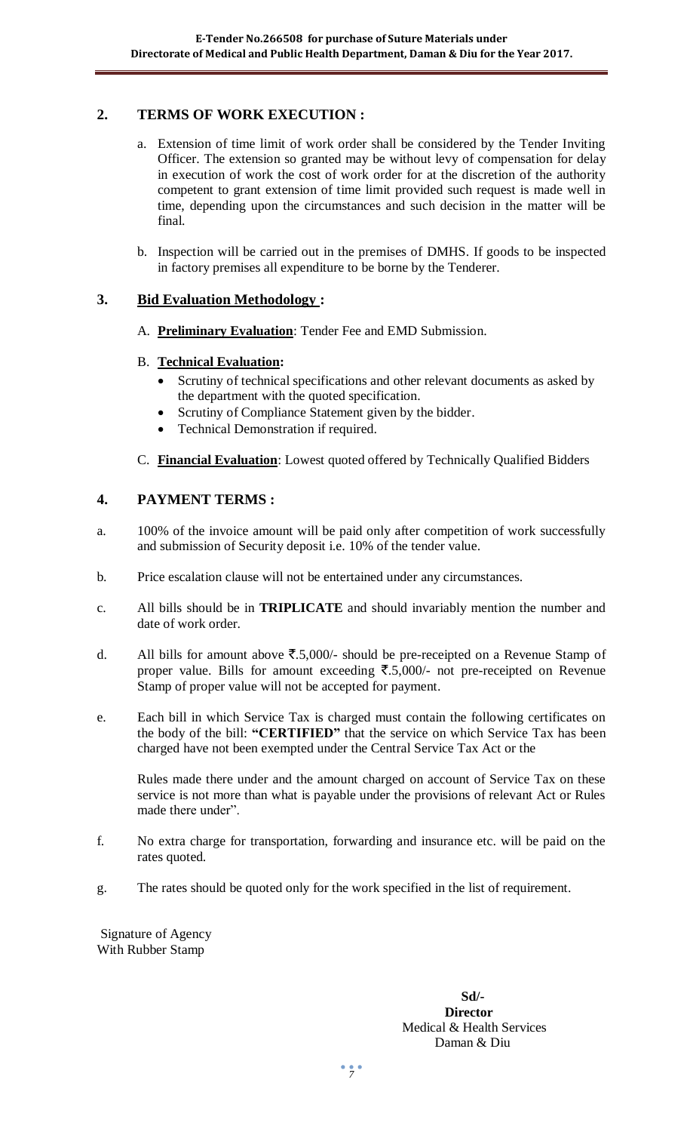## **2. TERMS OF WORK EXECUTION :**

- a. Extension of time limit of work order shall be considered by the Tender Inviting Officer. The extension so granted may be without levy of compensation for delay in execution of work the cost of work order for at the discretion of the authority competent to grant extension of time limit provided such request is made well in time, depending upon the circumstances and such decision in the matter will be final.
- b. Inspection will be carried out in the premises of DMHS. If goods to be inspected in factory premises all expenditure to be borne by the Tenderer.

## **3. Bid Evaluation Methodology :**

A. **Preliminary Evaluation**: Tender Fee and EMD Submission.

#### B. **Technical Evaluation:**

- Scrutiny of technical specifications and other relevant documents as asked by the department with the quoted specification.
- Scrutiny of Compliance Statement given by the bidder.
- Technical Demonstration if required.
- C. **Financial Evaluation**: Lowest quoted offered by Technically Qualified Bidders

#### **4. PAYMENT TERMS :**

- a. 100% of the invoice amount will be paid only after competition of work successfully and submission of Security deposit i.e. 10% of the tender value.
- b. Price escalation clause will not be entertained under any circumstances.
- c. All bills should be in **TRIPLICATE** and should invariably mention the number and date of work order.
- d. All bills for amount above  $\overline{\mathfrak{F}}.5,000/4$  should be pre-receipted on a Revenue Stamp of proper value. Bills for amount exceeding  $\overline{\xi}$ .5,000/- not pre-receipted on Revenue Stamp of proper value will not be accepted for payment.
- e. Each bill in which Service Tax is charged must contain the following certificates on the body of the bill: **"CERTIFIED"** that the service on which Service Tax has been charged have not been exempted under the Central Service Tax Act or the

Rules made there under and the amount charged on account of Service Tax on these service is not more than what is payable under the provisions of relevant Act or Rules made there under".

- f. No extra charge for transportation, forwarding and insurance etc. will be paid on the rates quoted.
- g. The rates should be quoted only for the work specified in the list of requirement.

Signature of Agency With Rubber Stamp

#### **Sd/- Director** Medical & Health Services Daman & Diu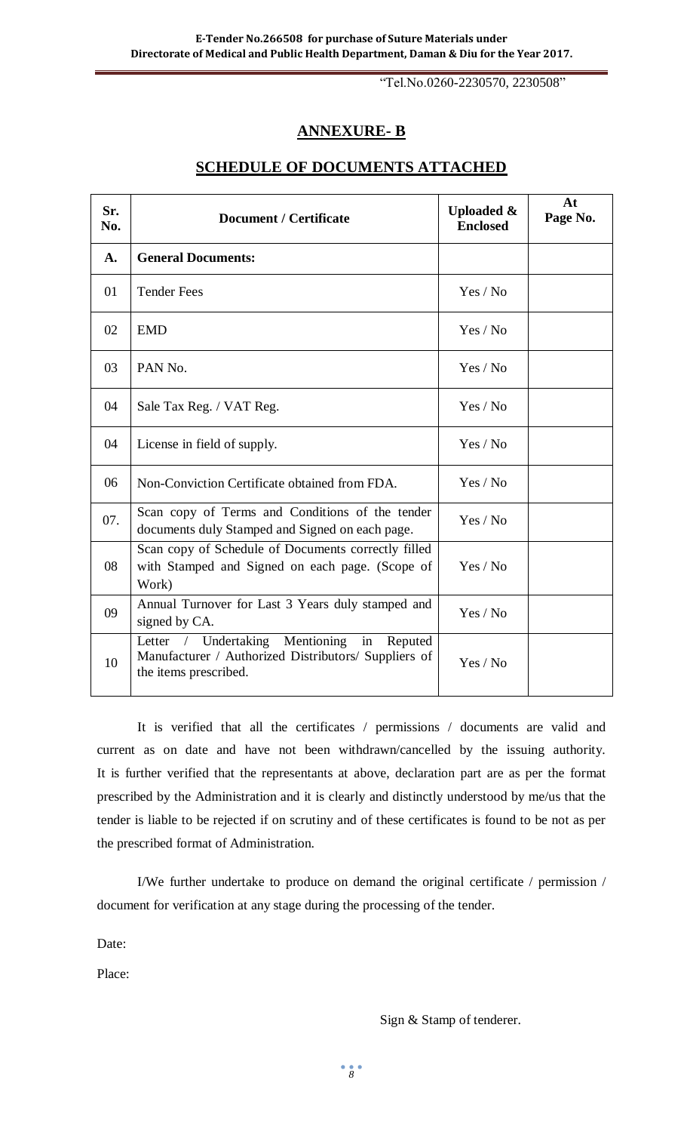"Tel.No.0260-2230570, 2230508"

## **ANNEXURE- B**

| Sr.<br>No. | <b>Document / Certificate</b>                                                                                                                       | <b>Uploaded &amp;</b><br><b>Enclosed</b> | At<br>Page No. |
|------------|-----------------------------------------------------------------------------------------------------------------------------------------------------|------------------------------------------|----------------|
| A.         | <b>General Documents:</b>                                                                                                                           |                                          |                |
| 01         | <b>Tender Fees</b>                                                                                                                                  | Yes / No                                 |                |
| 02         | <b>EMD</b>                                                                                                                                          | Yes / No                                 |                |
| 03         | PAN No.                                                                                                                                             | Yes / No                                 |                |
| 04         | Sale Tax Reg. / VAT Reg.                                                                                                                            | Yes / No                                 |                |
| 04         | License in field of supply.                                                                                                                         | Yes / No                                 |                |
| 06         | Non-Conviction Certificate obtained from FDA.                                                                                                       | Yes / No                                 |                |
| 07.        | Scan copy of Terms and Conditions of the tender<br>documents duly Stamped and Signed on each page.                                                  | Yes / No                                 |                |
| 08         | Scan copy of Schedule of Documents correctly filled<br>with Stamped and Signed on each page. (Scope of<br>Work)                                     | Yes / No                                 |                |
| 09         | Annual Turnover for Last 3 Years duly stamped and<br>signed by CA.                                                                                  | Yes / No                                 |                |
| 10         | Undertaking<br>Mentioning<br>in<br>Reputed<br>Letter<br>$\sqrt{2}$<br>Manufacturer / Authorized Distributors/ Suppliers of<br>the items prescribed. | Yes / No                                 |                |

#### **SCHEDULE OF DOCUMENTS ATTACHED**

It is verified that all the certificates / permissions / documents are valid and current as on date and have not been withdrawn/cancelled by the issuing authority. It is further verified that the representants at above, declaration part are as per the format prescribed by the Administration and it is clearly and distinctly understood by me/us that the tender is liable to be rejected if on scrutiny and of these certificates is found to be not as per the prescribed format of Administration.

I/We further undertake to produce on demand the original certificate / permission / document for verification at any stage during the processing of the tender.

Date:

Place:

Sign & Stamp of tenderer.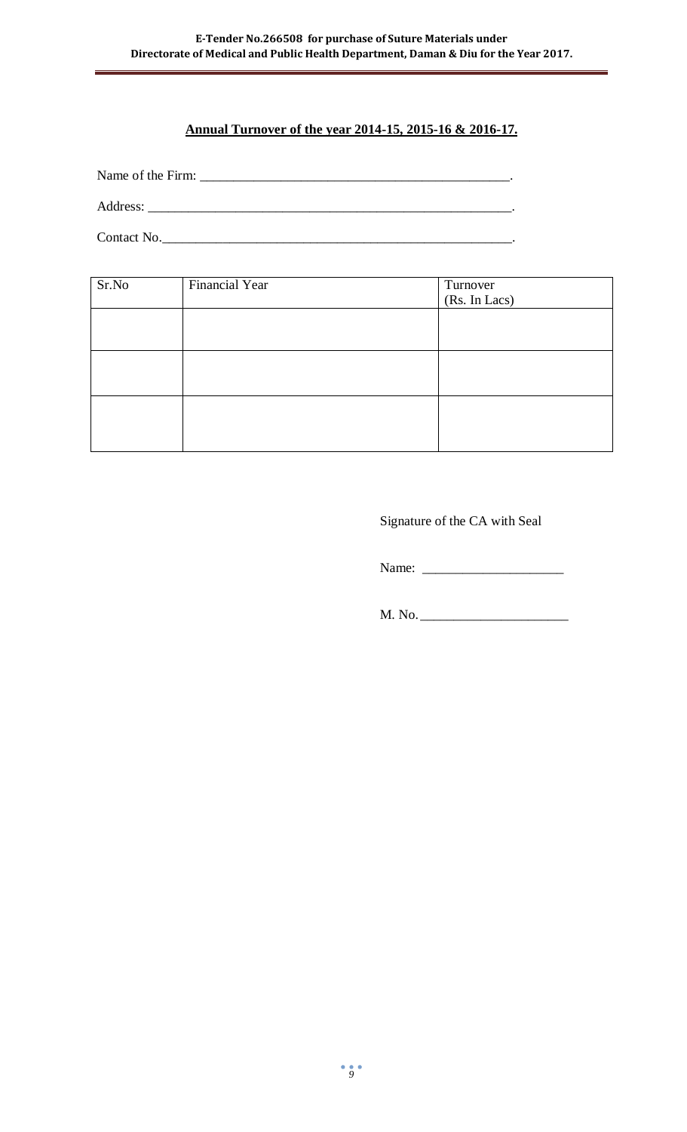# **Annual Turnover of the year 2014-15, 2015-16 & 2016-17.**

Name of the Firm: \_\_\_\_\_\_\_\_\_\_\_\_\_\_\_\_\_\_\_\_\_\_\_\_\_\_\_\_\_\_\_\_\_\_\_\_\_\_\_\_\_\_\_\_\_\_.

Address: \_\_\_\_\_\_\_\_\_\_\_\_\_\_\_\_\_\_\_\_\_\_\_\_\_\_\_\_\_\_\_\_\_\_\_\_\_\_\_\_\_\_\_\_\_\_\_\_\_\_\_\_\_\_.

Contact No.

| Sr.No | Financial Year | Turnover<br>(Rs. In Lacs) |
|-------|----------------|---------------------------|
|       |                |                           |
|       |                |                           |
|       |                |                           |

Signature of the CA with Seal

Name: \_\_\_\_\_\_\_\_\_\_\_\_\_\_\_\_\_\_\_\_\_

M. No. \_\_\_\_\_\_\_\_\_\_\_\_\_\_\_\_\_\_\_\_\_\_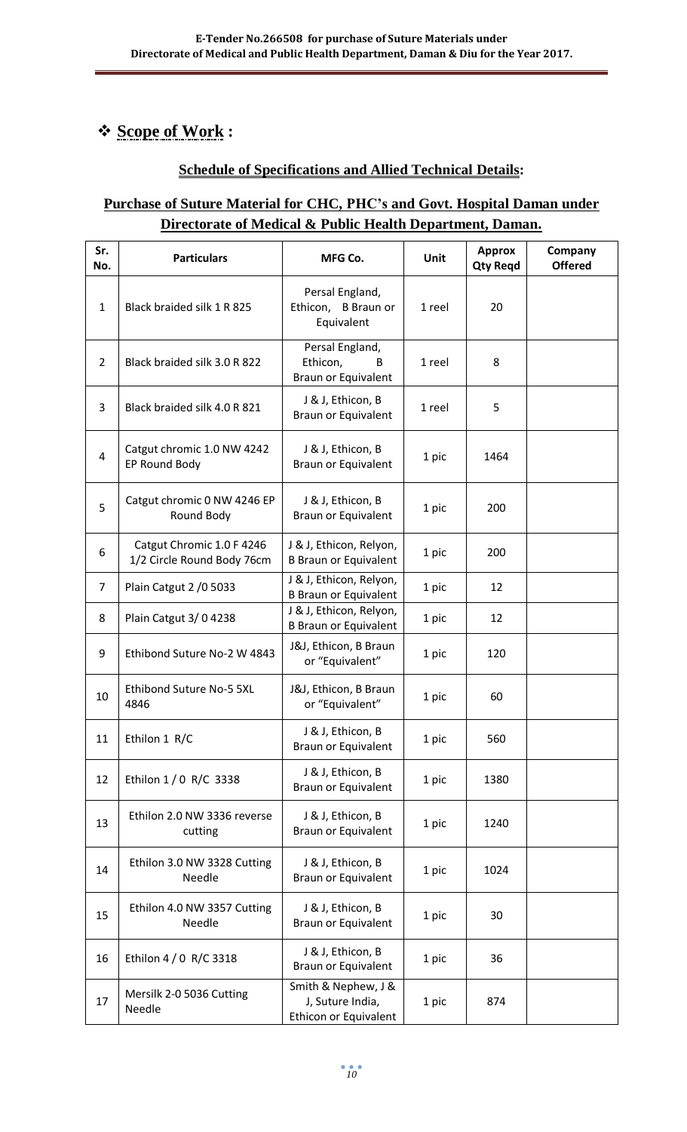# **Scope of Work :**

## **Schedule of Specifications and Allied Technical Details:**

# **Purchase of Suture Material for CHC, PHC's and Govt. Hospital Daman under Directorate of Medical & Public Health Department, Daman.**

| Sr.<br>No.     | <b>Particulars</b>                                      | MFG Co.                                                          | <b>Unit</b> | <b>Approx</b><br><b>Qty Regd</b> | Company<br><b>Offered</b> |
|----------------|---------------------------------------------------------|------------------------------------------------------------------|-------------|----------------------------------|---------------------------|
| $\mathbf{1}$   | Black braided silk 1 R 825                              | Persal England,<br>Ethicon, B Braun or<br>Equivalent             | 1 reel      | 20                               |                           |
| $\overline{2}$ | Black braided silk 3.0 R 822                            | Persal England,<br>Ethicon,<br>B<br>Braun or Equivalent          | 1 reel      | 8                                |                           |
| 3              | Black braided silk 4.0 R 821                            | J & J, Ethicon, B<br><b>Braun or Equivalent</b>                  | 1 reel      | 5                                |                           |
| 4              | Catgut chromic 1.0 NW 4242<br>EP Round Body             | J & J, Ethicon, B<br>Braun or Equivalent                         | 1 pic       | 1464                             |                           |
| 5              | Catgut chromic 0 NW 4246 EP<br>Round Body               | J & J, Ethicon, B<br>Braun or Equivalent                         | 1 pic       | 200                              |                           |
| 6              | Catgut Chromic 1.0 F 4246<br>1/2 Circle Round Body 76cm | J & J, Ethicon, Relyon,<br><b>B Braun or Equivalent</b>          | 1 pic       | 200                              |                           |
| $\overline{7}$ | Plain Catgut 2 / 0 5033                                 | J & J, Ethicon, Relyon,<br><b>B Braun or Equivalent</b>          | 1 pic       | 12                               |                           |
| 8              | Plain Catgut 3/04238                                    | J & J, Ethicon, Relyon,<br><b>B Braun or Equivalent</b>          | 1 pic       | 12                               |                           |
| 9              | Ethibond Suture No-2 W 4843                             | J&J, Ethicon, B Braun<br>or "Equivalent"                         | 1 pic       | 120                              |                           |
| 10             | Ethibond Suture No-5 5XL<br>4846                        | J&J, Ethicon, B Braun<br>or "Equivalent"                         | 1 pic       | 60                               |                           |
| 11             | Ethilon 1 R/C                                           | J & J, Ethicon, B<br><b>Braun or Equivalent</b>                  | 1 pic       | 560                              |                           |
| 12             | Ethilon 1 / 0 R/C 3338                                  | J & J, Ethicon, B<br><b>Braun or Equivalent</b>                  | 1 pic       | 1380                             |                           |
| 13             | Ethilon 2.0 NW 3336 reverse<br>cutting                  | J & J, Ethicon, B<br><b>Braun or Equivalent</b>                  | 1 pic       | 1240                             |                           |
| 14             | Ethilon 3.0 NW 3328 Cutting<br>Needle                   | J & J, Ethicon, B<br>Braun or Equivalent                         | 1 pic       | 1024                             |                           |
| 15             | Ethilon 4.0 NW 3357 Cutting<br>Needle                   | J & J, Ethicon, B<br>Braun or Equivalent                         | 1 pic       | 30                               |                           |
| 16             | Ethilon 4 / 0 R/C 3318                                  | J & J, Ethicon, B<br><b>Braun or Equivalent</b>                  | 1 pic       | 36                               |                           |
| 17             | Mersilk 2-0 5036 Cutting<br>Needle                      | Smith & Nephew, J &<br>J, Suture India,<br>Ethicon or Equivalent | 1 pic       | 874                              |                           |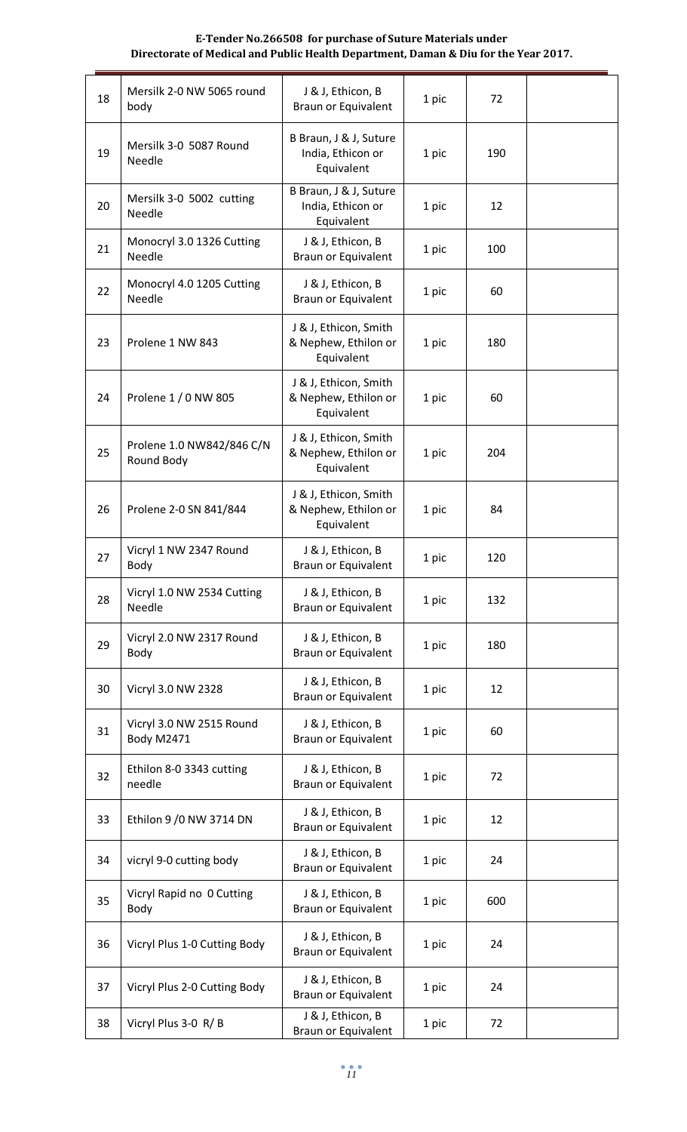#### **E-Tender No.266508 for purchase of Suture Materials under Directorate of Medical and Public Health Department, Daman & Diu for the Year 2017.**

| 18 | Mersilk 2-0 NW 5065 round<br>body             | J & J, Ethicon, B<br><b>Braun or Equivalent</b>             | 1 pic | 72  |  |
|----|-----------------------------------------------|-------------------------------------------------------------|-------|-----|--|
| 19 | Mersilk 3-0 5087 Round<br>Needle              | B Braun, J & J, Suture<br>India, Ethicon or<br>Equivalent   | 1 pic | 190 |  |
| 20 | Mersilk 3-0 5002 cutting<br>Needle            | B Braun, J & J, Suture<br>India, Ethicon or<br>Equivalent   | 1 pic | 12  |  |
| 21 | Monocryl 3.0 1326 Cutting<br>Needle           | J & J, Ethicon, B<br><b>Braun or Equivalent</b>             | 1 pic | 100 |  |
| 22 | Monocryl 4.0 1205 Cutting<br>Needle           | J & J, Ethicon, B<br><b>Braun or Equivalent</b>             | 1 pic | 60  |  |
| 23 | Prolene 1 NW 843                              | J & J, Ethicon, Smith<br>& Nephew, Ethilon or<br>Equivalent | 1 pic | 180 |  |
| 24 | Prolene 1 / 0 NW 805                          | J & J, Ethicon, Smith<br>& Nephew, Ethilon or<br>Equivalent | 1 pic | 60  |  |
| 25 | Prolene 1.0 NW842/846 C/N<br>Round Body       | J & J, Ethicon, Smith<br>& Nephew, Ethilon or<br>Equivalent | 1 pic | 204 |  |
| 26 | Prolene 2-0 SN 841/844                        | J & J, Ethicon, Smith<br>& Nephew, Ethilon or<br>Equivalent | 1 pic | 84  |  |
| 27 | Vicryl 1 NW 2347 Round<br>Body                | J & J, Ethicon, B<br>Braun or Equivalent                    | 1 pic | 120 |  |
| 28 | Vicryl 1.0 NW 2534 Cutting<br>Needle          | J & J, Ethicon, B<br>Braun or Equivalent                    | 1 pic | 132 |  |
| 29 | Vicryl 2.0 NW 2317 Round<br>Body              | J & J, Ethicon, B<br><b>Braun or Equivalent</b>             | 1 pic | 180 |  |
| 30 | Vicryl 3.0 NW 2328                            | J & J, Ethicon, B<br><b>Braun or Equivalent</b>             | 1 pic | 12  |  |
| 31 | Vicryl 3.0 NW 2515 Round<br><b>Body M2471</b> | J & J, Ethicon, B<br><b>Braun or Equivalent</b>             | 1 pic | 60  |  |
| 32 | Ethilon 8-0 3343 cutting<br>needle            | J & J, Ethicon, B<br>Braun or Equivalent                    | 1 pic | 72  |  |
| 33 | Ethilon 9 / 0 NW 3714 DN                      | J & J, Ethicon, B<br><b>Braun or Equivalent</b>             | 1 pic | 12  |  |
| 34 | vicryl 9-0 cutting body                       | J & J, Ethicon, B<br><b>Braun or Equivalent</b>             | 1 pic | 24  |  |
| 35 | Vicryl Rapid no 0 Cutting<br>Body             | J & J, Ethicon, B<br><b>Braun or Equivalent</b>             | 1 pic | 600 |  |
| 36 | Vicryl Plus 1-0 Cutting Body                  | J & J, Ethicon, B<br><b>Braun or Equivalent</b>             | 1 pic | 24  |  |
| 37 | Vicryl Plus 2-0 Cutting Body                  | J & J, Ethicon, B<br><b>Braun or Equivalent</b>             | 1 pic | 24  |  |
| 38 | Vicryl Plus 3-0 R/B                           | J & J, Ethicon, B<br><b>Braun or Equivalent</b>             | 1 pic | 72  |  |